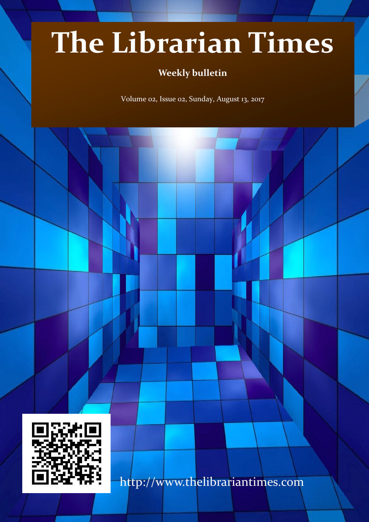# **The Librarian Times**

## **Weekly bulletin**

Volume 02, Issue 02, Sunday, August 13, 2017



http://www.thelibrariantimes.com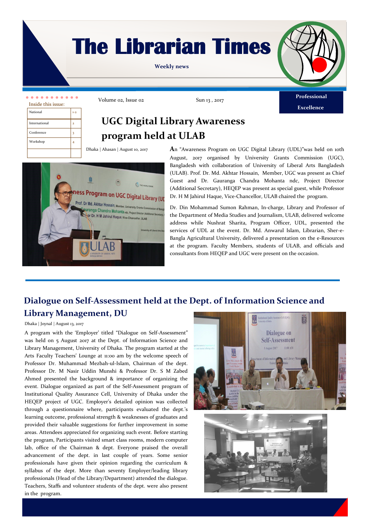## **The Librarian Times**

**Weekly news**



**Excellence**

| Inside this issue: |         |  |
|--------------------|---------|--|
| National           | $1 - 2$ |  |
| International      |         |  |
| Conference         |         |  |
| Workshop           |         |  |
|                    |         |  |

Volume 02, Issue 02 Sun 13, 2017

## **UGC Digital Library Awareness program held at ULAB**

Dhaka | Ahasan | August 10, 2017



**A**n "Awareness Program on UGC Digital Library (UDL)"was held on 10th August, 2017 organised by University Grants Commission (UGC), Bangladesh with collaboration of University of Liberal Arts Bangladesh (ULAB). Prof. Dr. Md. Akhtar Hossain, Member, UGC was present as Chief Guest and Dr. Gauranga Chandra Mohanta ndc, Project Director (Additional Secretary), HEQEP was present as special guest, while Professor Dr. H M Jahirul Haque, Vice-Chancellor, ULAB chaired the program.

Dr. Din Mohammad Sumon Rahman, In-charge, Library and Professor of the Department of Media Studies and Journalism, ULAB, delivered welcome address while Nushrat Sharita, Program Officer, UDL, presented the services of UDL at the event. Dr. Md. Anwarul Islam, Librarian, Sher-e-Bangla Agricultural University, delivered a presentation on the e-Resources at the program. Faculty Members, students of ULAB, and officials and consultants from HEQEP and UGC were present on the occasion.

### **Dialogue on Self-Assessment held at the Dept. of Information Science and Library Management, DU**

#### Dhaka | Joynal | August 13, 2017

A program with the 'Employer' titled "Dialogue on Self-Assessment" was held on 5 August 2017 at the Dept. of Information Science and Library Management, University of Dhaka. The program started at the Arts Faculty Teachers' Lounge at 11:00 am by the welcome speech of Professor Dr. Muhammad Mezbah-ul-Islam, Chairman of the dept. Professor Dr. M Nasir Uddin Munshi & Professor Dr. S M Zabed Ahmed presented the background & importance of organizing the event. Dialogue organized as part of the Self-Assessment program of Institutional Quality Assurance Cell, University of Dhaka under the HEQEP project of UGC. Employer's detailed opinion was collected through a questionnaire where, participants evaluated the dept.'s learning outcome, professional strength & weaknesses of graduates and provided their valuable suggestions for further improvement in some areas. Attendees appreciated for organizing such event. Before starting the program, Participants visited smart class rooms, modern computer lab, office of the Chairman & dept. Everyone praised the overall advancement of the dept. in last couple of years. Some senior professionals have given their opinion regarding the curriculum & syllabus of the dept. More than seventy Employer/leading library professionals (Head of the Library/Department) attended the dialogue. Teachers, Staffs and volunteer students of the dept. were also present in the program.



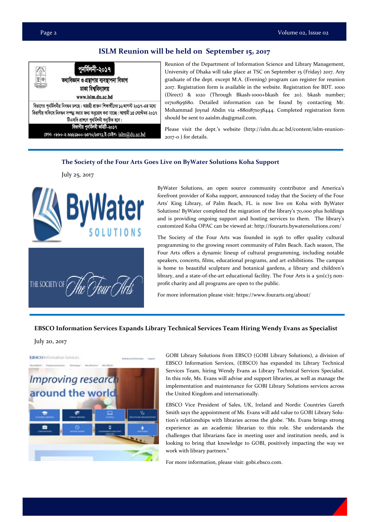#### **ISLM Reunion will be held on September 15, 2017**

|   | পুনৰ্মিলনী-২০১৭                                                                                                                                                               |
|---|-------------------------------------------------------------------------------------------------------------------------------------------------------------------------------|
| ⊻ | তথ্যবিজ্ঞান ও গ্রন্থাগার ব্যবস্থাপনা বিভাগ<br>ঢাকা বিশ্ববিদ্যালয়                                                                                                             |
|   | www.islm.du.ac.bd                                                                                                                                                             |
|   | বিভাগের পুনর্মিলনীর নিবন্ধন চলছে। আগ্রহী প্রাক্তন শিক্ষার্থীদের ১৬আগস্ট ২০১৭-এর মধ্যে<br>বিভাগীয় অফিসে নিবন্ধন সম্পন্ন করার জন্য অনুরোধ করা যাচ্ছে। আগামী ১৫ সেপ্টেম্বর ২০১৭ |
|   | টিএসসি প্রাঙ্গণে পুনর্মিলনী অনুষ্ঠিত হবে।<br>বিভাগীয় পুনর্মিলনী কমিটি-২০১৭                                                                                                   |
|   | ফোন: +৮৮০-২-৯৬৬১৯০০-৬৩৭০/৬৩৭১,ই-মেইল: islm@du.ac.bd                                                                                                                           |

Reunion of the Department of Information Science and Library Management, University of Dhaka will take place at TSC on September 15 (Friday) 2017. Any graduate of the dept. except M.A. (Evening) program can register for reunion 2017. Registration form is available in the website. Registration fee BDT. 1000 (Direct) & 1020 (Through Bkash-1000+bkash fee 20). bkash number; 01710895680. Detailed information can be found by contacting Mr. Mohammad Joynal Abdin via +8801871038444. Completed registration form should be sent to aaislm.du@gmail.com.

Please visit the dept.'s website (http://islm.du.ac.bd/content/islm-reunion-2017-0 ) for details.

#### **The Society of the Four Arts Goes Live on ByWater Solutions Koha Support**

July 25, 2017





ByWater Solutions, an open source community contributor and America's forefront provider of Koha support, announced today that the Society of the Four Arts' King Library, of Palm Beach, FL. is now live on Koha with ByWater Solutions! ByWater completed the migration of the library's 70,000 plus holdings and is providing ongoing support and hosting services to them. The library's customized Koha OPAC can be viewed at: http://fourarts.bywatersolutions.com/

The Society of the Four Arts was founded in 1936 to offer quality cultural programming to the growing resort community of Palm Beach. Each season, The Four Arts offers a dynamic lineup of cultural programming, including notable speakers, concerts, films, educational programs, and art exhibitions. The campus is home to beautiful sculpture and botanical gardens, a library and children's library, and a state-of-the-art educational facility. The Four Arts is a  $501(c)3$  nonprofit charity and all programs are open to the public.

For more information please visit: https://www.fourarts.org/about/

#### **EBSCO Information Services Expands Library Technical Services Team Hiring Wendy Evans as Specialist**

July 20, 2017



GOBI Library Solutions from EBSCO (GOBI Library Solutions), a division of EBSCO Information Services, (EBSCO) has expanded its Library Technical Services Team, hiring Wendy Evans as Library Technical Services Specialist. In this role, Ms. Evans will advise and support libraries, as well as manage the implementation and maintenance for GOBI Library Solutions services across the United Kingdom and internationally.

EBSCO Vice President of Sales, UK, Ireland and Nordic Countries Gareth Smith says the appointment of Ms. Evans will add value to GOBI Library Solution's relationships with libraries across the globe. "Ms. Evans brings strong experience as an academic librarian to this role. She understands the challenges that librarians face in meeting user and institution needs, and is looking to bring that knowledge to GOBI, positively impacting the way we work with library partners."

For more information, please visit: gobi.ebsco.com.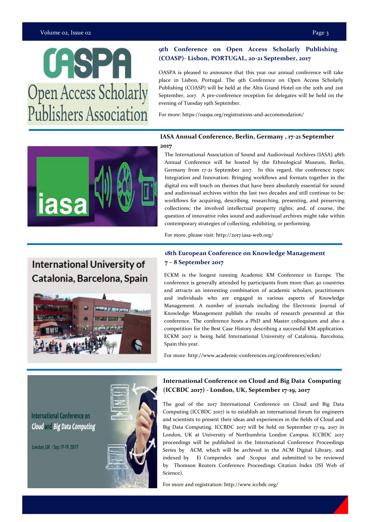#### Volume 02, Issue 02 Page 3

## **CASPA Open Access Scholarly** Publishers Association

## **9th Conference on Open Access Scholarly Publishing**

**(COASP)- Lisbon, PORTUGAL, 20-21 September, 2017** 

OASPA is pleased to announce that this year our annual conference will take place in Lisbon, Portugal. The 9th Conference on Open Access Scholarly Publishing (COASP) will be held at the Altis Grand Hotel on the 20th and 21st September, 2017. A pre-conference reception for delegates will be held on the evening of Tuesday 19th September.

For more: https://oaspa.org/registrations-and-accommodation/

### **IASA Annual Conference, Berlin, Germany , 17-21 September**

#### **2017**

The International Association of Sound and Audiovisual Archives (IASA) 48th Annual Conference will be hosted by the Ethnological Museum, Berlin, Germany from 17-21 September 2017. In this regard, the conference topic Integration and Innovation: Bringing workflows and formats together in the digital era will touch on themes that have been absolutely essential for sound and audiovisual archives within the last two decades and still continue to be: workflows for acquiring, describing, researching, presenting, and preserving collections; the involved intellectual property rights; and, of course, the question of innovative roles sound and audiovisual archives might take within contemporary strategies of collecting, exhibiting, or performing.

For more, please visit: http://2017.iasa-web.org/

## **International University of** Catalonia, Barcelona, Spain



#### **18th European Conference on Knowledge Management 7 – 8 September 2017**

ECKM is the longest running Academic KM Conference in Europe. The conference is generally attended by participants from more than 40 countries and attracts an interesting combination of academic scholars, practitioners and individuals who are engaged in various aspects of Knowledge Management. A number of journals including the Electronic Journal of Knowledge Management publish the results of research presented at this conference. The conference hosts a PhD and Master colloquium and also a competition for the Best Case History describing a successful KM application. ECKM 2017 is being held International University of Catalonia, Barcelona, Spain this year.

For more: http://www.academic-conferences.org/conferences/eckm/

**International Conference on Cloud and Big Data Computing** 

London, UK / Sep.17-19, 2017



#### **International Conference on Cloud and Big Data Computing (ICCBDC 2017) - London, UK, September 17-19, 2017**

The goal of the 2017 International Conference on Cloud and Big Data Computing (ICCBDC 2017) is to establish an international forum for engineers and scientists to present their ideas and experiences in the fields of Cloud and Big Data Computing. ICCBDC 2017 will be held on September 17-19, 2017 in London, UK at University of Northumbria London Campus. ICCBDC 2017 proceedings will be published in the International Conference Proceedings Series by ACM, which will be archived in the ACM Digital Library, and indexed by Ei Compendex and Scopus and submitted to be reviewed by Thomson Reuters Conference Proceedings Citation Index (ISI Web of Science).

For more and registration: http://www.iccbdc.org/